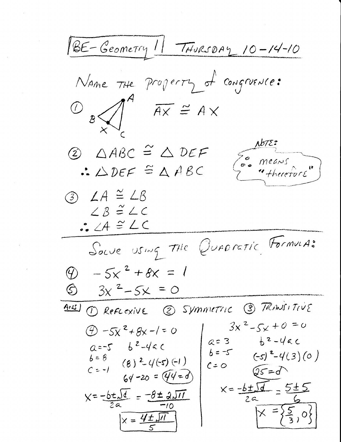1BE-Geometry 11 THURSDAY 10-14-10 Name THE Property of Congruence:  $\omega$   $\sqrt{1}$   $\overline{Ax}$   $\cong$   $AX$  $\Delta b$ 72:  $Q$   $\triangle ABC \cong \triangle DEF$ Es means  $\triangle$   $DEF \cong \triangle$  ABC  $(3)$   $\angle A \cong \angle B$  $LB \cong LC$  $AC = CA \cong LC$ Souve using the Quaractic Formune  $\circled{0}$  - 5x<sup>2</sup> + 8x = 1  $6 \frac{3x^2-5x}{20} = 0$ ANSI 1 REFLEXIVE 2 SYMMETTIC 3 TRAVSITIVE  $3x^2-5x+0=0$  $\circled{2}$  -5x<sup>2</sup>+8x-1=0  $b^2-4ac$  $a = 3$ <br> $b = -5$  $a=-5$   $b^2-4ac$  $(-s)^{2}-4(3)(0)$  $\frac{b=8}{c=-1}$  (8)<sup>2</sup>-4(-5)(-1)  $C=0$  $Q5 = 7$  $64 - 20 = (44 = 0)$  $x=\frac{-b\pm\sqrt{d}}{2a}=\frac{5\pm 5}{4}$  $x = -b \pm \sqrt{d} = -8 \pm 2\sqrt{11}$  $X = \frac{5}{2}, 0$  $X = \frac{4\pm\sqrt{n}}{5}$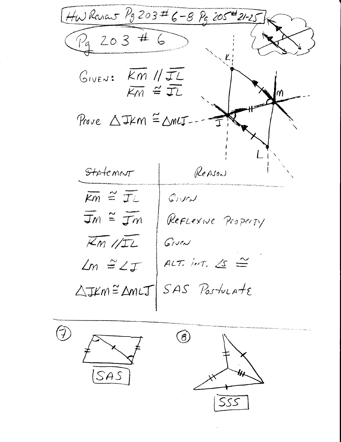Hw Review  $P_9 203 \pm 6 - 8 P_9 205 \pm 21 - 25$  $P_{9}$  203 # 6  $G_{IVE}$ :  $Km$  // $\overline{JL}$  $K_M \cong \overline{JL}$ Prove  $\triangle$ IKM =  $\triangle$ MLJ-Statement REASON  $\overline{km}$   $\cong$   $\overline{TL}$  $G$ Ned  $\overline{J}m \cong \overline{J}m$ REFLEXIVE Property  $\overline{Km}/\sqrt{12}$ Given ALT. INT.  $\Delta s \cong$  $\angle m \cong \angle \top$ SAS Postucate  $\triangle Jkm \cong \triangle mLT$